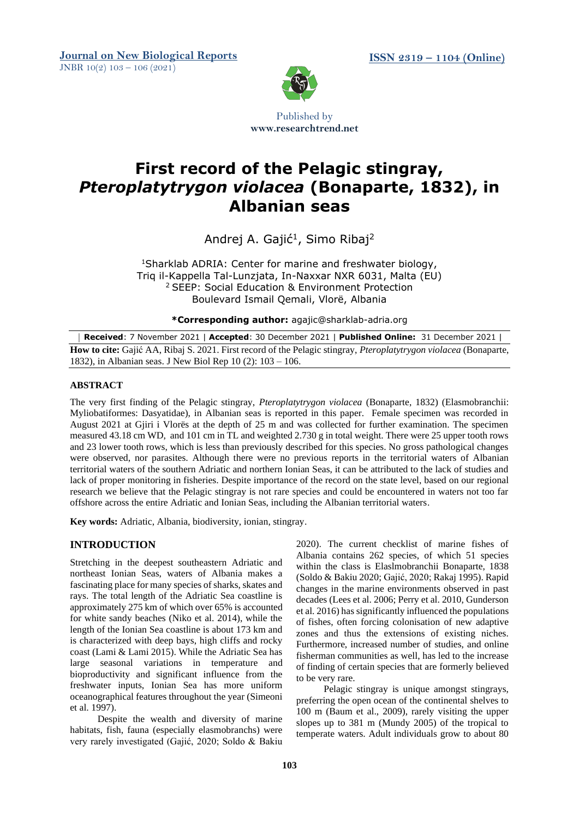

# **First record of the Pelagic stingray,** *Pteroplatytrygon violacea* **(Bonaparte, 1832), in Albanian seas**

Andrej A. Gajić<sup>1</sup>, Simo Ribaj<sup>2</sup>

<sup>1</sup>Sharklab ADRIA: Center for marine and freshwater biology, Triq il-Kappella Tal-Lunzjata, In-Naxxar NXR 6031, Malta (EU) <sup>2</sup>SEEP: Social Education & Environment Protection Boulevard Ismail Qemali, Vlorë, Albania

**\*Corresponding author:** agajic@sharklab-adria.org

| Received: 7 November 2021   Accepted: 30 December 2021   Published Online: 31 December 2021                       |
|-------------------------------------------------------------------------------------------------------------------|
| How to cite: Gajić AA, Ribaj S. 2021. First record of the Pelagic stingray, Pteroplatytrygon violacea (Bonaparte, |
| 1832), in Albanian seas. J New Biol Rep 10 (2): $103 - 106$ .                                                     |

## **ABSTRACT**

The very first finding of the Pelagic stingray, *Pteroplatytrygon violacea* (Bonaparte, 1832) (Elasmobranchii: Myliobatiformes: Dasyatidae), in Albanian seas is reported in this paper. Female specimen was recorded in August 2021 at Gjiri i Vlorës at the depth of 25 m and was collected for further examination. The specimen measured 43.18 cm WD, and 101 cm in TL and weighted 2.730 g in total weight. There were 25 upper tooth rows and 23 lower tooth rows, which is less than previously described for this species. No gross pathological changes were observed, nor parasites. Although there were no previous reports in the territorial waters of Albanian territorial waters of the southern Adriatic and northern Ionian Seas, it can be attributed to the lack of studies and lack of proper monitoring in fisheries. Despite importance of the record on the state level, based on our regional research we believe that the Pelagic stingray is not rare species and could be encountered in waters not too far offshore across the entire Adriatic and Ionian Seas, including the Albanian territorial waters.

**Key words:** Adriatic, Albania, biodiversity, ionian, stingray.

# **INTRODUCTION**

Stretching in the deepest southeastern Adriatic and northeast Ionian Seas, waters of Albania makes a fascinating place for many species of sharks, skates and rays. The total length of the Adriatic Sea coastline is approximately 275 km of which over 65% is accounted for white sandy beaches (Niko et al. 2014), while the length of the Ionian Sea coastline is about 173 km and is characterized with deep bays, high cliffs and rocky coast (Lami & Lami 2015). While the Adriatic Sea has large seasonal variations in temperature and bioproductivity and significant influence from the freshwater inputs, Ionian Sea has more uniform oceanographical features throughout the year (Simeoni et al. 1997).

Despite the wealth and diversity of marine habitats, fish, fauna (especially elasmobranchs) were very rarely investigated (Gajić, 2020; Soldo & Bakiu 2020). The current checklist of marine fishes of Albania contains 262 species, of which 51 species within the class is Elaslmobranchii Bonaparte, 1838 (Soldo & Bakiu 2020; Gajić, 2020; Rakaj 1995). Rapid changes in the marine environments observed in past decades (Lees et al. 2006; Perry et al. 2010, Gunderson et al. 2016) has significantly influenced the populations of fishes, often forcing colonisation of new adaptive zones and thus the extensions of existing niches. Furthermore, increased number of studies, and online fisherman communities as well, has led to the increase of finding of certain species that are formerly believed to be very rare.

Pelagic stingray is unique amongst stingrays, preferring the open ocean of the continental shelves to 100 m (Baum et al., 2009), rarely visiting the upper slopes up to 381 m (Mundy 2005) of the tropical to temperate waters. Adult individuals grow to about 80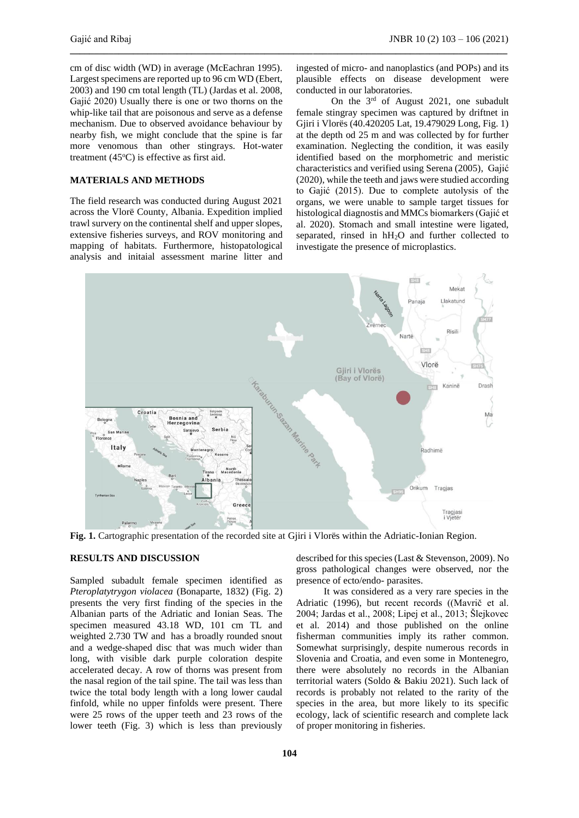cm of disc width (WD) in average (McEachran 1995). Largest specimens are reported up to 96 cm WD (Ebert, 2003) and 190 cm total length (TL) (Jardas et al. 2008, Gajić 2020) Usually there is one or two thorns on the whip-like tail that are poisonous and serve as a defense mechanism. Due to observed avoidance behaviour by nearby fish, we might conclude that the spine is far more venomous than other stingrays. Hot-water treatment  $(45^{\circ}C)$  is effective as first aid.

#### **MATERIALS AND METHODS**

The field research was conducted during August 2021 across the Vlorë County, Albania. Expedition implied trawl survery on the continental shelf and upper slopes, extensive fisheries surveys, and ROV monitoring and mapping of habitats. Furthermore, histopatological analysis and initaial assessment marine litter and ingested of micro- and nanoplastics (and POPs) and its plausible effects on disease development were conducted in our laboratories.

On the 3rd of August 2021, one subadult female stingray specimen was captured by driftnet in Gjiri i Vlorës (40.420205 Lat, 19.479029 Long, Fig. 1) at the depth od 25 m and was collected by for further examination. Neglecting the condition, it was easily identified based on the morphometric and meristic characteristics and verified using Serena (2005), Gajić (2020), while the teeth and jaws were studied according to Gajić (2015). Due to complete autolysis of the organs, we were unable to sample target tissues for histological diagnostis and MMCs biomarkers (Gajić et al. 2020). Stomach and small intestine were ligated, separated, rinsed in hH2O and further collected to investigate the presence of microplastics.



**\_\_\_\_\_\_\_\_\_\_\_\_\_\_\_\_\_\_\_\_\_\_\_\_\_\_\_\_\_\_\_\_\_\_\_\_\_\_\_\_\_\_\_\_\_\_\_\_\_\_\_\_\_\_\_\_\_\_\_\_\_\_\_\_\_\_\_\_\_\_\_\_\_\_\_\_\_\_\_\_\_\_\_\_\_\_\_\_\_\_**

**Fig. 1.** Cartographic presentation of the recorded site at Gjiri i Vlorës within the Adriatic-Ionian Region.

## **RESULTS AND DISCUSSION**

Sampled subadult female specimen identified as *Pteroplatytrygon violacea* (Bonaparte, 1832) (Fig. 2) presents the very first finding of the species in the Albanian parts of the Adriatic and Ionian Seas. The specimen measured 43.18 WD, 101 cm TL and weighted 2.730 TW and has a broadly rounded snout and a wedge-shaped disc that was much wider than long, with visible dark purple coloration despite accelerated decay. A row of thorns was present from the nasal region of the tail spine. The tail was less than twice the total body length with a long lower caudal finfold, while no upper finfolds were present. There were 25 rows of the upper teeth and 23 rows of the lower teeth (Fig. 3) which is less than previously described for this species (Last & Stevenson, 2009). No gross pathological changes were observed, nor the presence of ecto/endo- parasites.

It was considered as a very rare species in the Adriatic (1996), but recent records ((Mavrič et al. 2004; Jardas et al., 2008; Lipej et al., 2013; Šlejkovec et al. 2014) and those published on the online fisherman communities imply its rather common. Somewhat surprisingly, despite numerous records in Slovenia and Croatia, and even some in Montenegro, there were absolutely no records in the Albanian territorial waters (Soldo & Bakiu 2021). Such lack of records is probably not related to the rarity of the species in the area, but more likely to its specific ecology, lack of scientific research and complete lack of proper monitoring in fisheries.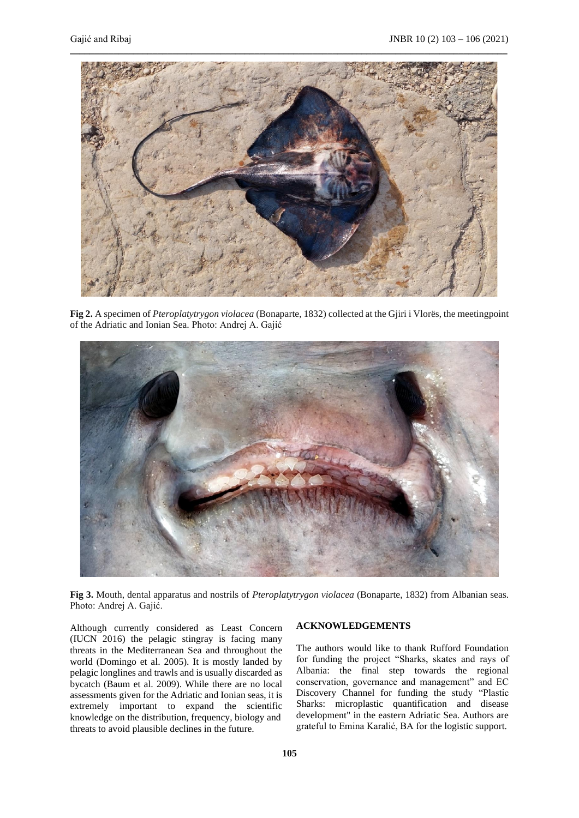

**Fig 2.** A specimen of *Pteroplatytrygon violacea* (Bonaparte, 1832) collected at the Gjiri i Vlorës, the meetingpoint of the Adriatic and Ionian Sea. Photo: Andrej A. Gajić



**Fig 3.** Mouth, dental apparatus and nostrils of *Pteroplatytrygon violacea* (Bonaparte, 1832) from Albanian seas. Photo: Andrej A. Gajić.

Although currently considered as Least Concern (IUCN 2016) the pelagic stingray is facing many threats in the Mediterranean Sea and throughout the world (Domingo et al. 2005). It is mostly landed by pelagic longlines and trawls and is usually discarded as bycatch (Baum et al. 2009). While there are no local assessments given for the Adriatic and Ionian seas, it is extremely important to expand the scientific knowledge on the distribution, frequency, biology and threats to avoid plausible declines in the future.

## **ACKNOWLEDGEMENTS**

The authors would like to thank Rufford Foundation for funding the project "Sharks, skates and rays of Albania: the final step towards the regional conservation, governance and management" and EC Discovery Channel for funding the study "Plastic Sharks: microplastic quantification and disease development" in the eastern Adriatic Sea. Authors are grateful to Emina Karalić, BA for the logistic support.